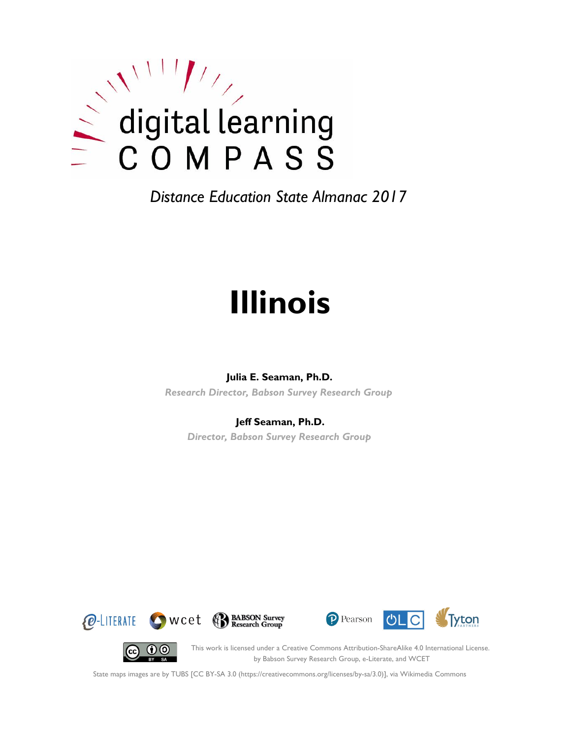

# **Illinois**

#### **Julia E. Seaman, Ph.D.**

*Research Director, Babson Survey Research Group*

#### **Jeff Seaman, Ph.D.**

*Director, Babson Survey Research Group*







 $(c)$ 

This work is licensed under a Creative Commons Attribution-ShareAlike 4.0 International License. by Babson Survey Research Group, e-Literate, and WCET

State maps images are by TUBS [CC BY-SA 3.0 (https://creativecommons.org/licenses/by-sa/3.0)], via Wikimedia Commons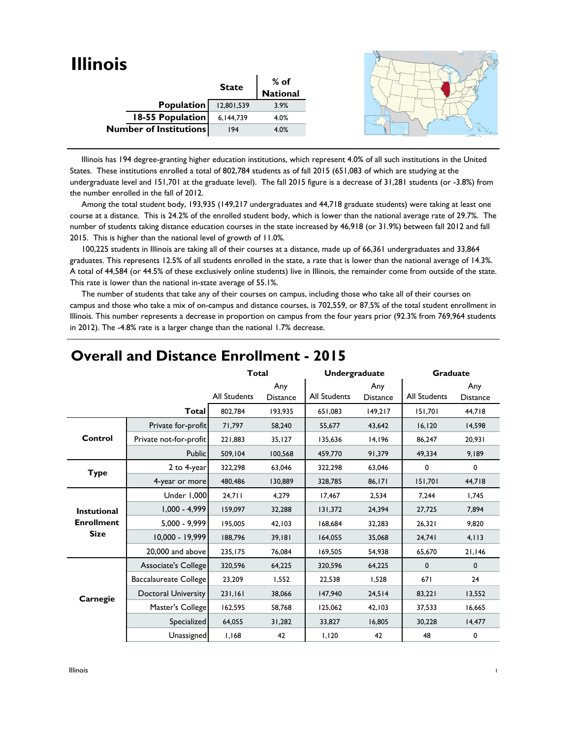| <b>Illinois</b>               |              |                  |  |
|-------------------------------|--------------|------------------|--|
|                               | <b>State</b> | % of<br>National |  |
|                               |              |                  |  |
| Population                    | 12,801,539   | 3.9%             |  |
| <b>18-55 Population</b>       | 6,144,739    | 4.0%             |  |
| <b>Number of Institutions</b> | 194          | 4.0%             |  |
|                               |              |                  |  |

 Illinois has 194 degree-granting higher education institutions, which represent 4.0% of all such institutions in the United States. These institutions enrolled a total of 802,784 students as of fall 2015 (651,083 of which are studying at the undergraduate level and 151,701 at the graduate level). The fall 2015 figure is a decrease of 31,281 students (or -3.8%) from the number enrolled in the fall of 2012.

 Among the total student body, 193,935 (149,217 undergraduates and 44,718 graduate students) were taking at least one course at a distance. This is 24.2% of the enrolled student body, which is lower than the national average rate of 29.7%. The number of students taking distance education courses in the state increased by 46,918 (or 31.9%) between fall 2012 and fall 2015. This is higher than the national level of growth of 11.0%.

 100,225 students in Illinois are taking all of their courses at a distance, made up of 66,361 undergraduates and 33,864 graduates. This represents 12.5% of all students enrolled in the state, a rate that is lower than the national average of 14.3%. A total of 44,584 (or 44.5% of these exclusively online students) live in Illinois, the remainder come from outside of the state. This rate is lower than the national in-state average of 55.1%.

 The number of students that take any of their courses on campus, including those who take all of their courses on campus and those who take a mix of on-campus and distance courses, is 702,559, or 87.5% of the total student enrollment in Illinois. This number represents a decrease in proportion on campus from the four years prior (92.3% from 769,964 students in 2012). The -4.8% rate is a larger change than the national 1.7% decrease.

|                    |                              | <b>Total</b> |                        | Undergraduate |                        | <b>Graduate</b>     |                        |
|--------------------|------------------------------|--------------|------------------------|---------------|------------------------|---------------------|------------------------|
|                    |                              | All Students | Any<br><b>Distance</b> | All Students  | Any<br><b>Distance</b> | <b>All Students</b> | Any<br><b>Distance</b> |
|                    | <b>Total</b>                 | 802,784      | 193,935                | 651,083       | 149,217                | 151.701             | 44,718                 |
|                    | Private for-profit           | 71,797       | 58,240                 | 55,677        | 43,642                 | 16, 120             | 14,598                 |
| Control            | Private not-for-profit       | 221,883      | 35, 127                | 135,636       | 14,196                 | 86,247              | 20,931                 |
|                    | <b>Public</b>                | 509,104      | 100,568                | 459,770       | 91,379                 | 49,334              | 9,189                  |
| <b>Type</b>        | 2 to 4-year                  | 322,298      | 63,046                 | 322,298       | 63,046                 | 0                   | $\mathbf 0$            |
|                    | 4-year or more               | 480,486      | 130,889                | 328,785       | 86,171                 | 151,701             | 44,718                 |
|                    | Under 1,000                  | 24,711       | 4,279                  | 17,467        | 2,534                  | 7,244               | 1,745                  |
| <b>Instutional</b> | $1,000 - 4,999$              | 159,097      | 32,288                 | 131,372       | 24,394                 | 27,725              | 7,894                  |
| <b>Enrollment</b>  | $5,000 - 9,999$              | 195,005      | 42,103                 | 168,684       | 32,283                 | 26,321              | 9,820                  |
| <b>Size</b>        | 10.000 - 19.999              | 188,796      | 39,181                 | 164,055       | 35,068                 | 24,741              | 4, 113                 |
|                    | 20,000 and above             | 235,175      | 76,084                 | 169,505       | 54,938                 | 65,670              | 21,146                 |
|                    | Associate's College          | 320,596      | 64,225                 | 320,596       | 64,225                 | $\mathbf 0$         | $\mathbf 0$            |
|                    | <b>Baccalaureate College</b> | 23,209       | 1,552                  | 22,538        | 1,528                  | 671                 | 24                     |
| Carnegie           | Doctoral University          | 231,161      | 38,066                 | 147,940       | 24,514                 | 83,221              | 13,552                 |
|                    | Master's College             | 162,595      | 58,768                 | 125,062       | 42,103                 | 37,533              | 16,665                 |
|                    | Specialized                  | 64,055       | 31,282                 | 33,827        | 16,805                 | 30,228              | 14,477                 |
|                    | Unassigned                   | 1,168        | 42                     | 1,120         | 42                     | 48                  | 0                      |

#### **Overall and Distance Enrollment - 2015**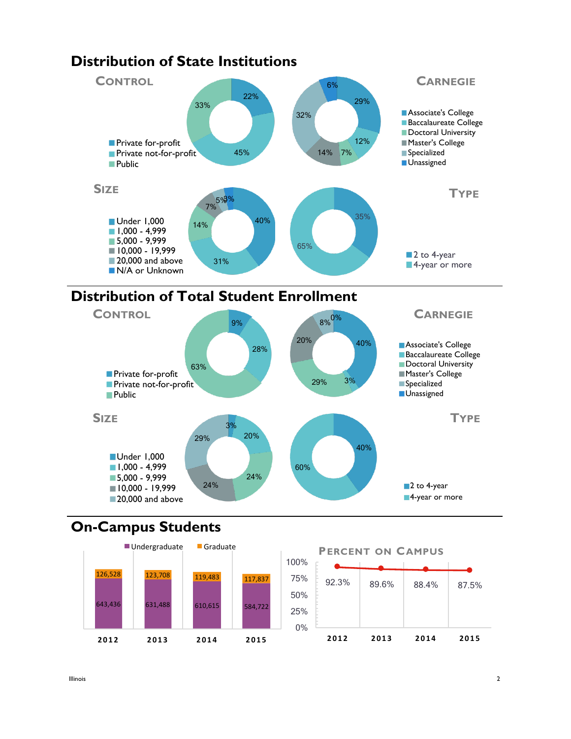

# **Distribution of Total Student Enrollment**



# **On-Campus Students**



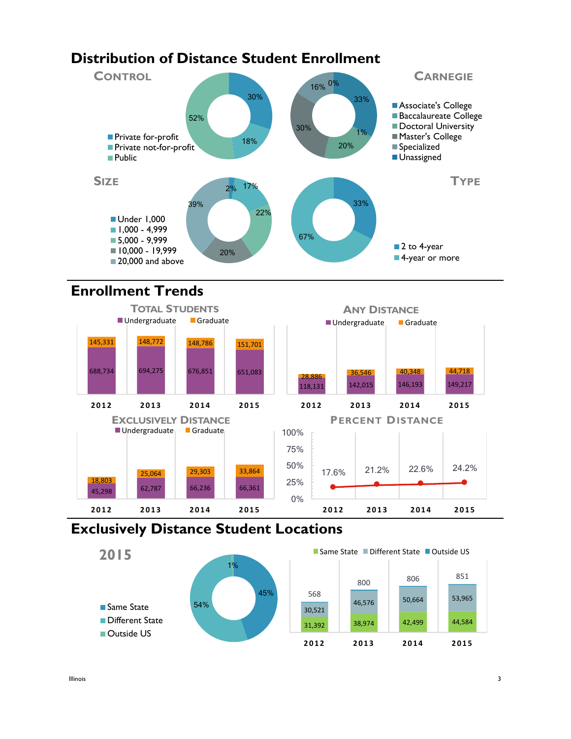## **Distribution of Distance Student Enrollment**



## **Enrollment Trends**



#### **Exclusively Distance Student Locations**